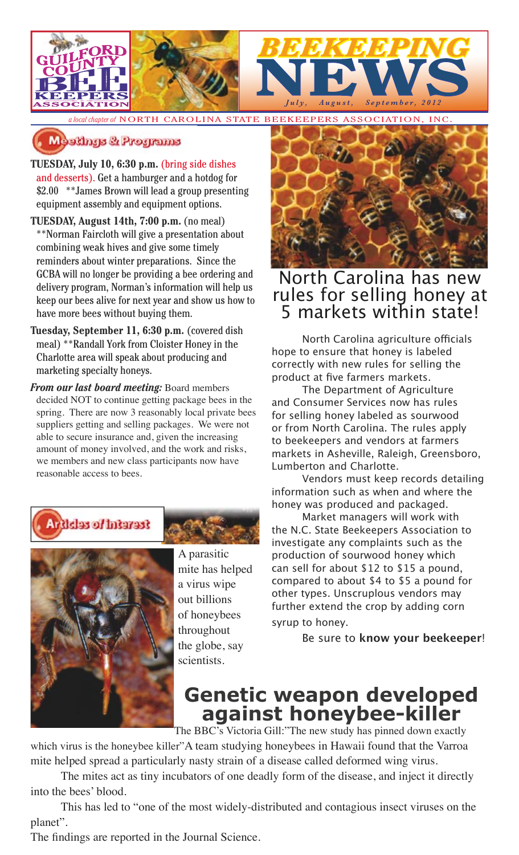

*a local chapter of* NORTH CAROLINA STATE BEEKEEPERS ASSOCIATION, INC.

### Meetings & Programs

**TUESDAY, July 10, 6:30 p.m.** (bring side dishes and desserts). Get a hamburger and a hotdog for \$2.00 \*\*James Brown will lead a group presenting equipment assembly and equipment options.

- **TUESDAY, August 14th, 7:00 p.m.** (no meal) \*\*Norman Faircloth will give a presentation about combining weak hives and give some timely reminders about winter preparations. Since the GCBA will no longer be providing a bee ordering and delivery program, Norman's information will help us keep our bees alive for next year and show us how to have more bees without buying them.
- **Tuesday, September 11, 6:30 p.m.** (covered dish meal) \*\*Randall York from Cloister Honey in the Charlotte area will speak about producing and marketing specialty honeys.
- *From our last board meeting:* Board members decided NOT to continue getting package bees in the spring. There are now 3 reasonably local private bees suppliers getting and selling packages. We were not able to secure insurance and, given the increasing amount of money involved, and the work and risks, we members and new class participants now have reasonable access to bees.



*Articles of Interest* 

A parasitic mite has helped a virus wipe out billions of honeybees throughout the globe, say scientists.



## North Carolina has new rules for selling honey at 5 markets within state!

North Carolina agriculture officials hope to ensure that honey is labeled correctly with new rules for selling the product at five farmers markets.

The Department of Agriculture and Consumer Services now has rules for selling honey labeled as sourwood or from North Carolina. The rules apply to beekeepers and vendors at farmers markets in Asheville, Raleigh, Greensboro, Lumberton and Charlotte.

Vendors must keep records detailing information such as when and where the honey was produced and packaged.

Market managers will work with the N.C. State Beekeepers Association to investigate any complaints such as the production of sourwood honey which can sell for about \$12 to \$15 a pound, compared to about \$4 to \$5 a pound for other types. Unscruplous vendors may further extend the crop by adding corn syrup to honey.

Be sure to **know your beekeeper**!

# **Genetic weapon developed against honeybee-killer**

The BBC's Victoria Gill:"The new study has pinned down exactly

which virus is the honeybee killer"A team studying honeybees in Hawaii found that the Varroa mite helped spread a particularly nasty strain of a disease called deformed wing virus.

The mites act as tiny incubators of one deadly form of the disease, and inject it directly into the bees' blood.

This has led to "one of the most widely-distributed and contagious insect viruses on the planet".

The findings are reported in the Journal Science.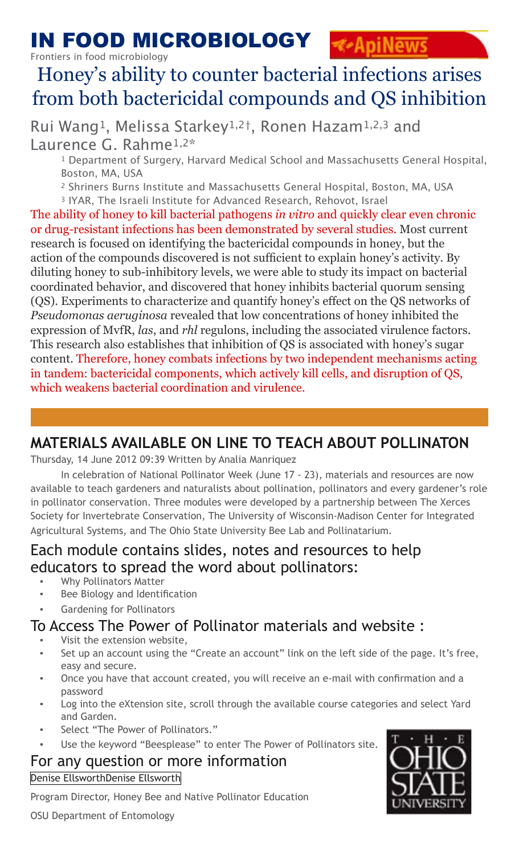### IN FOOD MICROBIOLOGY *<u><b>E*ApiNews</u>

Frontiers in food microbiology

# Honey's ability to counter bacterial infections arises from both bactericidal compounds and QS inhibition

Rui Wang<sup>1</sup>, Melissa Starkey<sup>1,2†</sup>, Ronen Hazam<sup>1,2,3</sup> and<br>Laurence G. Rahme<sup>1,2\*</sup>

<sup>1</sup> Department of Surgery, Harvard Medical School and Massachusetts General Hospital, Boston, MA, USA

 2 Shriners Burns Institute and Massachusetts General Hospital, Boston, MA, USA 3 IYAR, The Israeli Institute for Advanced Research, Rehovot, Israel

The ability of honey to kill bacterial pathogens *in vitro* and quickly clear even chronic or drug-resistant infections has been demonstrated by several studies. Most current research is focused on identifying the bactericidal compounds in honey, but the action of the compounds discovered is not sufficient to explain honey's activity. By diluting honey to sub-inhibitory levels, we were able to study its impact on bacterial coordinated behavior, and discovered that honey inhibits bacterial quorum sensing (QS). Experiments to characterize and quantify honey's effect on the QS networks of *Pseudomonas aeruginosa* revealed that low concentrations of honey inhibited the expression of MvfR, *las*, and *rhl* regulons, including the associated virulence factors. This research also establishes that inhibition of QS is associated with honey's sugar content. Therefore, honey combats infections by two independent mechanisms acting in tandem: bactericidal components, which actively kill cells, and disruption of QS, which weakens bacterial coordination and virulence.

## **MATERIALS AVAILABLE ON LINE TO TEACH ABOUT POLLINATON**

Thursday, 14 June 2012 09:39 Written by Analia Manriquez

In celebration of National Pollinator Week (June 17 - 23), materials and resources are now available to teach gardeners and naturalists about pollination, pollinators and every gardener's role in pollinator conservation. Three modules were developed by a partnership between The Xerces Society for Invertebrate Conservation, The University of Wisconsin-Madison Center for Integrated Agricultural Systems, and The Ohio State University Bee Lab and Pollinatarium.

## Each module contains slides, notes and resources to help educators to spread the word about pollinators:

- Why Pollinators Matter
- Bee Biology and Identification
- Gardening for Pollinators

## To Access The Power of Pollinator materials and website :

- Visit the extension website,
- Set up an account using the "Create an account" link on the left side of the page. It's free, easy and secure.
- Once you have that account created, you will receive an e-mail with confirmation and a password
- Log into the eXtension site, scroll through the available course categories and select Yard and Garden.
- Select "The Power of Pollinators."
- Use the keyword "Beesplease" to enter The Power of Pollinators site.

### For any question or more information

[Denise EllsworthDenise Ellsworth](mailto:ellsworth.2@osu.edu)

Program Director, Honey Bee and Native Pollinator Education

OSU Department of Entomology

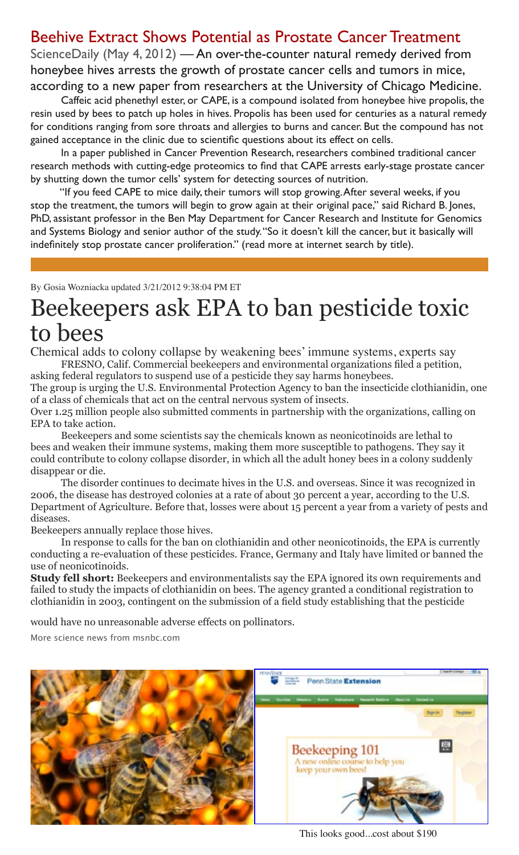## Beehive Extract Shows Potential as Prostate Cancer Treatment

ScienceDaily (May 4, 2012) — An over-the-counter natural remedy derived from honeybee hives arrests the growth of prostate cancer cells and tumors in mice, according to a new paper from researchers at the University of Chicago Medicine.

Caffeic acid phenethyl ester, or CAPE, is a compound isolated from honeybee hive propolis, the resin used by bees to patch up holes in hives. Propolis has been used for centuries as a natural remedy for conditions ranging from sore throats and allergies to burns and cancer. But the compound has not gained acceptance in the clinic due to scientific questions about its effect on cells.

In a paper published in Cancer Prevention Research, researchers combined traditional cancer research methods with cutting-edge proteomics to find that CAPE arrests early-stage prostate cancer by shutting down the tumor cells' system for detecting sources of nutrition.

"If you feed CAPE to mice daily, their tumors will stop growing. After several weeks, if you stop the treatment, the tumors will begin to grow again at their original pace," said Richard B. Jones, PhD, assistant professor in the Ben May Department for Cancer Research and Institute for Genomics and Systems Biology and senior author of the study. "So it doesn't kill the cancer, but it basically will indefinitely stop prostate cancer proliferation." (read more at internet search by title).

By Gosia Wozniacka updated 3/21/2012 9:38:04 PM ET

# Beekeepers ask EPA to ban pesticide toxic to bees

Chemical adds to colony collapse by weakening bees' immune systems, experts say FRESNO, Calif. Commercial beekeepers and environmental organizations filed a petition,

asking federal regulators to suspend use of a pesticide they say harms honeybees.

The group is urging the U.S. Environmental Protection Agency to ban the insecticide clothianidin, one of a class of chemicals that act on the central nervous system of insects.

Over 1.25 million people also submitted comments in partnership with the organizations, calling on EPA to take action.

Beekeepers and some scientists say the chemicals known as neonicotinoids are lethal to bees and weaken their immune systems, making them more susceptible to pathogens. They say it could contribute to colony collapse disorder, in which all the adult honey bees in a colony suddenly disappear or die.

The disorder continues to decimate hives in the U.S. and overseas. Since it was recognized in 2006, the disease has destroyed colonies at a rate of about 30 percent a year, according to the U.S. Department of Agriculture. Before that, losses were about 15 percent a year from a variety of pests and diseases.

Beekeepers annually replace those hives.

In response to calls for the ban on clothianidin and other neonicotinoids, the EPA is currently conducting a re-evaluation of these pesticides. France, Germany and Italy have limited or banned the use of neonicotinoids.

**Study fell short:** Beekeepers and environmentalists say the EPA ignored its own requirements and failed to study the impacts of clothianidin on bees. The agency granted a conditional registration to clothianidin in 2003, contingent on the submission of a field study establishing that the pesticide

would have no unreasonable adverse effects on pollinators.

More science news from msnbc.com



This looks good...cost about \$190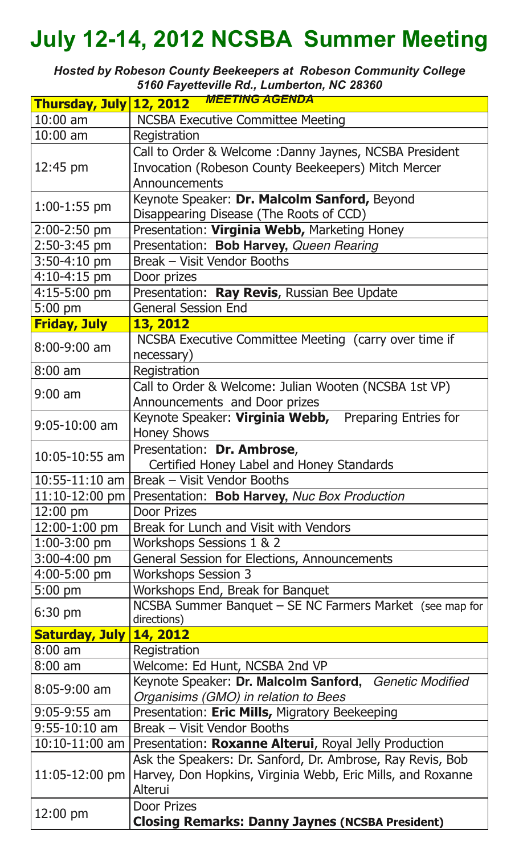# **July 12-14, 2012 NCSBA Summer Meeting**

*Hosted by Robeson County Beekeepers at Robeson Community College 5160 Fayetteville Rd., Lumberton, NC 28360*

|                       | Thursday, July 12, 2012 MEETING AGENDA                      |
|-----------------------|-------------------------------------------------------------|
| $10:00$ am            | <b>NCSBA Executive Committee Meeting</b>                    |
| $10:00$ am            | Registration                                                |
|                       | Call to Order & Welcome: Danny Jaynes, NCSBA President      |
| 12:45 pm              | Invocation (Robeson County Beekeepers) Mitch Mercer         |
|                       | Announcements                                               |
| $1:00-1:55$ pm        | Keynote Speaker: Dr. Malcolm Sanford, Beyond                |
|                       | Disappearing Disease (The Roots of CCD)                     |
| $2:00 - 2:50$ pm      | Presentation: Virginia Webb, Marketing Honey                |
| 2:50-3:45 pm          | Presentation: Bob Harvey, Queen Rearing                     |
| $3:50 - 4:10$ pm      | Break - Visit Vendor Booths                                 |
| $4:10 - 4:15$ pm      | Door prizes                                                 |
| 4:15-5:00 pm          | Presentation: Ray Revis, Russian Bee Update                 |
| $5:00$ pm             | <b>General Session End</b>                                  |
| <b>Friday, July</b>   | 13, 2012                                                    |
| $8:00 - 9:00$ am      | NCSBA Executive Committee Meeting (carry over time if       |
|                       | necessary)                                                  |
| $8:00$ am             | Registration                                                |
| $9:00$ am             | Call to Order & Welcome: Julian Wooten (NCSBA 1st VP)       |
|                       | Announcements and Door prizes                               |
| $9:05-10:00$ am       | Keynote Speaker: Virginia Webb, Preparing Entries for       |
|                       | <b>Honey Shows</b>                                          |
| 10:05-10:55 am        | Presentation: Dr. Ambrose,                                  |
|                       | Certified Honey Label and Honey Standards                   |
| $10:55 - 11:10$ am    | Break - Visit Vendor Booths                                 |
| $11:10-12:00$ pm      | Presentation: Bob Harvey, Nuc Box Production                |
| $12:00 \text{ pm}$    | <b>Door Prizes</b>                                          |
| $12:00-1:00$ pm       | Break for Lunch and Visit with Vendors                      |
| $1:00-3:00$ pm        | Workshops Sessions 1 & 2                                    |
| 3:00-4:00 pm          | <b>General Session for Elections, Announcements</b>         |
| 4:00-5:00 pm          | <b>Workshops Session 3</b>                                  |
| $5:00$ pm             | Workshops End, Break for Banquet                            |
| $6:30 \text{ pm}$     | NCSBA Summer Banquet - SE NC Farmers Market (see map for    |
| <b>Saturday, July</b> | directions)<br>14, 2012                                     |
| $8:00$ am             | Registration                                                |
| $8:00$ am             | Welcome: Ed Hunt, NCSBA 2nd VP                              |
| 8:05-9:00 am          | Keynote Speaker: Dr. Malcolm Sanford, Genetic Modified      |
|                       | Organisims (GMO) in relation to Bees                        |
| $9:05-9:55$ am        | Presentation: Eric Mills, Migratory Beekeeping              |
| $9:55 - 10:10$ am     | Break - Visit Vendor Booths                                 |
| $10:10-11:00$ am      | Presentation: Roxanne Alterui, Royal Jelly Production       |
|                       | Ask the Speakers: Dr. Sanford, Dr. Ambrose, Ray Revis, Bob  |
| 11:05-12:00 pm        | Harvey, Don Hopkins, Virginia Webb, Eric Mills, and Roxanne |
|                       | Alterui                                                     |
| 12:00 pm              | <b>Door Prizes</b>                                          |
|                       | <b>Closing Remarks: Danny Jaynes (NCSBA President)</b>      |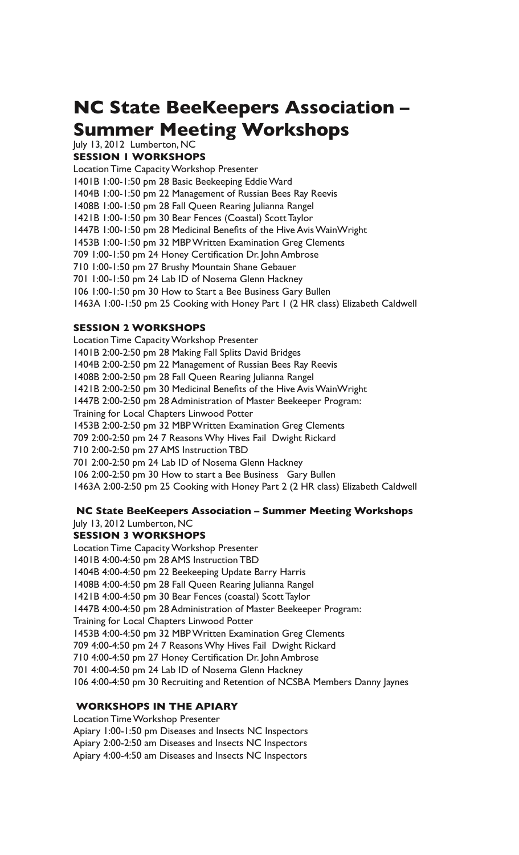## **NC State BeeKeepers Association – Summer Meeting Workshops**

July 13, 2012 Lumberton, NC **SESSION 1 WORKSHOPS** 

Location Time Capacity Workshop Presenter 1401B 1:00-1:50 pm 28 Basic Beekeeping Eddie Ward 1404B 1:00-1:50 pm 22 Management of Russian Bees Ray Reevis 1408B 1:00-1:50 pm 28 Fall Queen Rearing Julianna Rangel 1421B 1:00-1:50 pm 30 Bear Fences (Coastal) Scott Taylor 1447B 1:00-1:50 pm 28 Medicinal Benefits of the Hive Avis WainWright 1453B 1:00-1:50 pm 32 MBP Written Examination Greg Clements 709 1:00-1:50 pm 24 Honey Certification Dr. John Ambrose 710 1:00-1:50 pm 27 Brushy Mountain Shane Gebauer 701 1:00-1:50 pm 24 Lab ID of Nosema Glenn Hackney 106 1:00-1:50 pm 30 How to Start a Bee Business Gary Bullen 1463A 1:00-1:50 pm 25 Cooking with Honey Part 1 (2 HR class) Elizabeth Caldwell

### **SESSION 2 WORKSHOPS**

Location Time Capacity Workshop Presenter 1401B 2:00-2:50 pm 28 Making Fall Splits David Bridges 1404B 2:00-2:50 pm 22 Management of Russian Bees Ray Reevis 1408B 2:00-2:50 pm 28 Fall Queen Rearing Julianna Rangel 1421B 2:00-2:50 pm 30 Medicinal Benefits of the Hive Avis WainWright 1447B 2:00-2:50 pm 28 Administration of Master Beekeeper Program: Training for Local Chapters Linwood Potter 1453B 2:00-2:50 pm 32 MBP Written Examination Greg Clements 709 2:00-2:50 pm 24 7 Reasons Why Hives Fail Dwight Rickard 710 2:00-2:50 pm 27 AMS Instruction TBD 701 2:00-2:50 pm 24 Lab ID of Nosema Glenn Hackney 106 2:00-2:50 pm 30 How to start a Bee Business Gary Bullen 1463A 2:00-2:50 pm 25 Cooking with Honey Part 2 (2 HR class) Elizabeth Caldwell

### **NC State BeeKeepers Association – Summer Meeting Workshops**

July 13, 2012 Lumberton, NC

### **SESSION 3 WORKSHOPS**

Location Time Capacity Workshop Presenter 1401B 4:00-4:50 pm 28 AMS Instruction TBD 1404B 4:00-4:50 pm 22 Beekeeping Update Barry Harris 1408B 4:00-4:50 pm 28 Fall Queen Rearing Julianna Rangel 1421B 4:00-4:50 pm 30 Bear Fences (coastal) Scott Taylor 1447B 4:00-4:50 pm 28 Administration of Master Beekeeper Program: Training for Local Chapters Linwood Potter 1453B 4:00-4:50 pm 32 MBP Written Examination Greg Clements 709 4:00-4:50 pm 24 7 Reasons Why Hives Fail Dwight Rickard 710 4:00-4:50 pm 27 Honey Certification Dr. John Ambrose 701 4:00-4:50 pm 24 Lab ID of Nosema Glenn Hackney 106 4:00-4:50 pm 30 Recruiting and Retention of NCSBA Members Danny Jaynes

### **WORKSHOPS IN THE APIARY**

Location Time Workshop Presenter Apiary 1:00-1:50 pm Diseases and Insects NC Inspectors Apiary 2:00-2:50 am Diseases and Insects NC Inspectors Apiary 4:00-4:50 am Diseases and Insects NC Inspectors